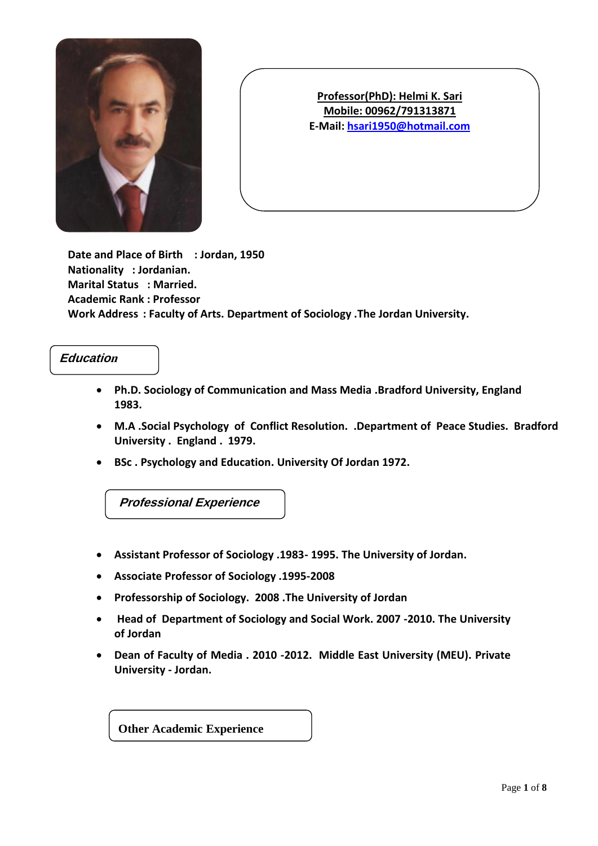

**Date and Place of Birth : Jordan, 1950 Nationality : Jordanian. Marital Status : Married. Academic Rank : Professor Work Address : Faculty of Arts. Department of Sociology .The Jordan University.**

## **Educatio<sup>n</sup>**

- **Ph.D. Sociology of Communication and Mass Media .Bradford University, England 1983.**
- **M.A .Social Psychology of Conflict Resolution. .Department of Peace Studies. Bradford University . England . 1979.**
- **BSc . Psychology and Education. University Of Jordan 1972.**

**Professional Experience**

- **Assistant Professor of Sociology .1983- 1995. The University of Jordan.**
- **Associate Professor of Sociology .1995-2008**
- **Professorship of Sociology. 2008 .The University of Jordan**
- **Head of Department of Sociology and Social Work. 2007 -2010. The University of Jordan**
- **Dean of Faculty of Media . 2010 -2012. Middle East University (MEU). Private University - Jordan.**

**Other Academic Experience**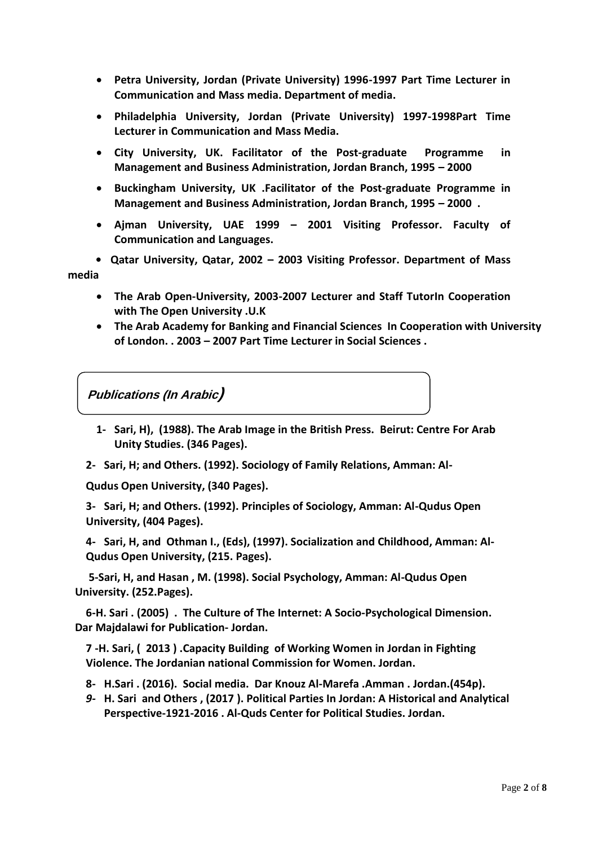- **Petra University, Jordan (Private University) 1996-1997 Part Time Lecturer in Communication and Mass media. Department of media.**
- **Philadelphia University, Jordan (Private University) 1997-1998Part Time Lecturer in Communication and Mass Media.**
- **City University, UK. Facilitator of the Post-graduate Programme in Management and Business Administration, Jordan Branch, 1995 – 2000**
- **Buckingham University, UK .Facilitator of the Post-graduate Programme in Management and Business Administration, Jordan Branch, 1995 – 2000 .**
- **Ajman University, UAE 1999 – 2001 Visiting Professor. Faculty of Communication and Languages.**

 **• Qatar University, Qatar, 2002 – 2003 Visiting Professor. Department of Mass media** 

- **The Arab Open-University, 2003-2007 Lecturer and Staff TutorIn Cooperation with The Open University .U.K**
- **The Arab Academy for Banking and Financial Sciences In Cooperation with University of London. . 2003 – 2007 Part Time Lecturer in Social Sciences .**

**Publications (In Arabic)**

- **1- Sari, H), (1988). The Arab Image in the British Press. Beirut: Centre For Arab Unity Studies. (346 Pages).**
- **2- Sari, H; and Others. (1992). Sociology of Family Relations, Amman: Al-**

**Qudus Open University, (340 Pages).**

**3- Sari, H; and Others. (1992). Principles of Sociology, Amman: Al-Qudus Open University, (404 Pages).**

**4- Sari, H, and Othman I., (Eds), (1997). Socialization and Childhood, Amman: Al-Qudus Open University, (215. Pages).**

 **5-Sari, H, and Hasan , M. (1998). Social Psychology, Amman: Al-Qudus Open University. (252.Pages).**

 **6-H. Sari . (2005) . The Culture of The Internet: A Socio-Psychological Dimension. Dar Majdalawi for Publication- Jordan.**

**7 -H. Sari, ( 2013 ) .Capacity Building of Working Women in Jordan in Fighting Violence. The Jordanian national Commission for Women. Jordan.**

- **8- H.Sari . (2016). Social media. Dar Knouz Al-Marefa .Amman . Jordan.(454p).**
- *9-* **H. Sari and Others , (2017 ). Political Parties In Jordan: A Historical and Analytical Perspective-1921-2016 . Al-Quds Center for Political Studies. Jordan.**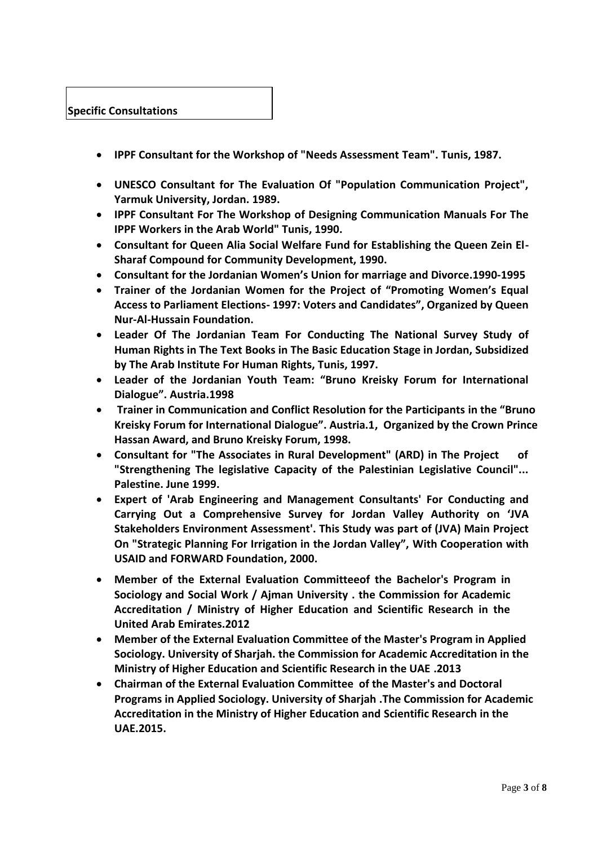

- **IPPF Consultant for the Workshop of "Needs Assessment Team". Tunis, 1987.**
- **UNESCO Consultant for The Evaluation Of "Population Communication Project", Yarmuk University, Jordan. 1989.**
- **IPPF Consultant For The Workshop of Designing Communication Manuals For The IPPF Workers in the Arab World" Tunis, 1990.**
- **Consultant for Queen Alia Social Welfare Fund for Establishing the Queen Zein El-Sharaf Compound for Community Development, 1990.**
- **Consultant for the Jordanian Women's Union for marriage and Divorce.1990-1995**
- **Trainer of the Jordanian Women for the Project of "Promoting Women's Equal Access to Parliament Elections- 1997: Voters and Candidates", Organized by Queen Nur-Al-Hussain Foundation.**
- **Leader Of The Jordanian Team For Conducting The National Survey Study of Human Rights in The Text Books in The Basic Education Stage in Jordan, Subsidized by The Arab Institute For Human Rights, Tunis, 1997.**
- **Leader of the Jordanian Youth Team: "Bruno Kreisky Forum for International Dialogue". Austria.1998**
- **Trainer in Communication and Conflict Resolution for the Participants in the "Bruno Kreisky Forum for International Dialogue". Austria.1, Organized by the Crown Prince Hassan Award, and Bruno Kreisky Forum, 1998.**
- **Consultant for "The Associates in Rural Development" (ARD) in The Project of "Strengthening The legislative Capacity of the Palestinian Legislative Council"... Palestine. June 1999.**
- **Expert of 'Arab Engineering and Management Consultants' For Conducting and Carrying Out a Comprehensive Survey for Jordan Valley Authority on 'JVA Stakeholders Environment Assessment'. This Study was part of (JVA) Main Project On "Strategic Planning For Irrigation in the Jordan Valley", With Cooperation with USAID and FORWARD Foundation, 2000.**
- **Member of the External Evaluation Committeeof the Bachelor's Program in Sociology and Social Work / Ajman University . the Commission for Academic Accreditation / Ministry of Higher Education and Scientific Research in the United Arab Emirates.2012**
- **Member of the External Evaluation Committee of the Master's Program in Applied Sociology. University of Sharjah. the Commission for Academic Accreditation in the Ministry of Higher Education and Scientific Research in the UAE .2013**
- **Chairman of the External Evaluation Committee of the Master's and Doctoral Programs in Applied Sociology. University of Sharjah .The Commission for Academic Accreditation in the Ministry of Higher Education and Scientific Research in the UAE.2015.**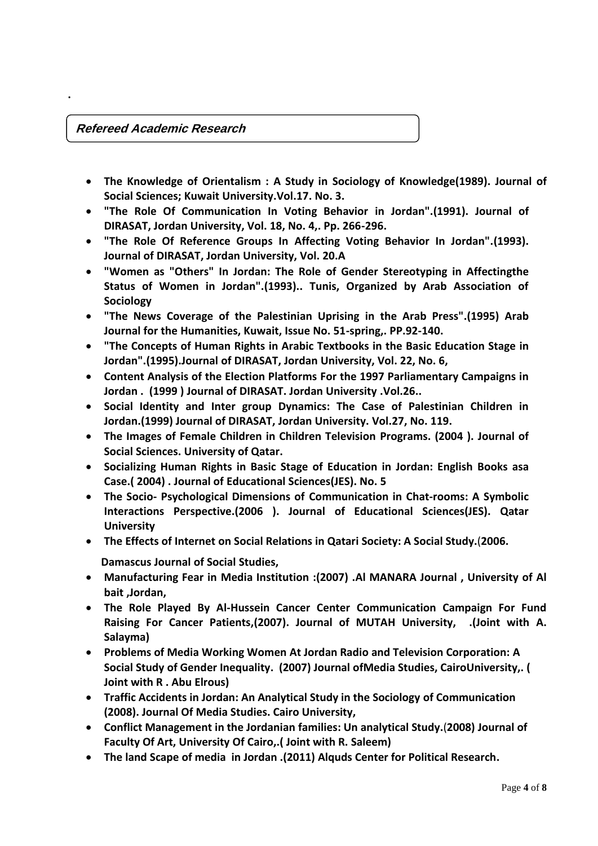## **Refereed Academic Research**

**.**

- **The Knowledge of Orientalism : A Study in Sociology of Knowledge(1989). Journal of Social Sciences; Kuwait University.Vol.17. No. 3.**
- **"The Role Of Communication In Voting Behavior in Jordan".(1991). Journal of DIRASAT, Jordan University, Vol. 18, No. 4,. Pp. 266-296.**
- **"The Role Of Reference Groups In Affecting Voting Behavior In Jordan".(1993). Journal of DIRASAT, Jordan University, Vol. 20.A**
- **"Women as "Others" In Jordan: The Role of Gender Stereotyping in Affectingthe Status of Women in Jordan".(1993).. Tunis, Organized by Arab Association of Sociology**
- **"The News Coverage of the Palestinian Uprising in the Arab Press".(1995) Arab Journal for the Humanities, Kuwait, Issue No. 51-spring,. PP.92-140.**
- **"The Concepts of Human Rights in Arabic Textbooks in the Basic Education Stage in Jordan".(1995).Journal of DIRASAT, Jordan University, Vol. 22, No. 6,**
- **Content Analysis of the Election Platforms For the 1997 Parliamentary Campaigns in Jordan . (1999 ) Journal of DIRASAT. Jordan University .Vol.26..**
- **Social Identity and Inter group Dynamics: The Case of Palestinian Children in Jordan.(1999) Journal of DIRASAT, Jordan University. Vol.27, No. 119.**
- **The Images of Female Children in Children Television Programs. (2004 ). Journal of Social Sciences. University of Qatar.**
- **Socializing Human Rights in Basic Stage of Education in Jordan: English Books asa Case.( 2004) . Journal of Educational Sciences(JES). No. 5**
- **The Socio- Psychological Dimensions of Communication in Chat-rooms: A Symbolic Interactions Perspective.(2006 ). Journal of Educational Sciences(JES). Qatar University**
- **The Effects of Internet on Social Relations in Qatari Society: A Social Study.**(**2006.**

 **Damascus Journal of Social Studies,** 

- **Manufacturing Fear in Media Institution :(2007) .Al MANARA Journal , University of Al bait ,Jordan,**
- **The Role Played By Al-Hussein Cancer Center Communication Campaign For Fund Raising For Cancer Patients,(2007). Journal of MUTAH University, .(Joint with A. Salayma)**
- **Problems of Media Working Women At Jordan Radio and Television Corporation: A Social Study of Gender Inequality. (2007) Journal ofMedia Studies, CairoUniversity,. ( Joint with R . Abu Elrous)**
- **Traffic Accidents in Jordan: An Analytical Study in the Sociology of Communication (2008). Journal Of Media Studies. Cairo University,**
- **Conflict Management in the Jordanian families: Un analytical Study.**(**2008) Journal of Faculty Of Art, University Of Cairo,.( Joint with R. Saleem)**
- **The land Scape of media in Jordan .(2011) Alquds Center for Political Research.**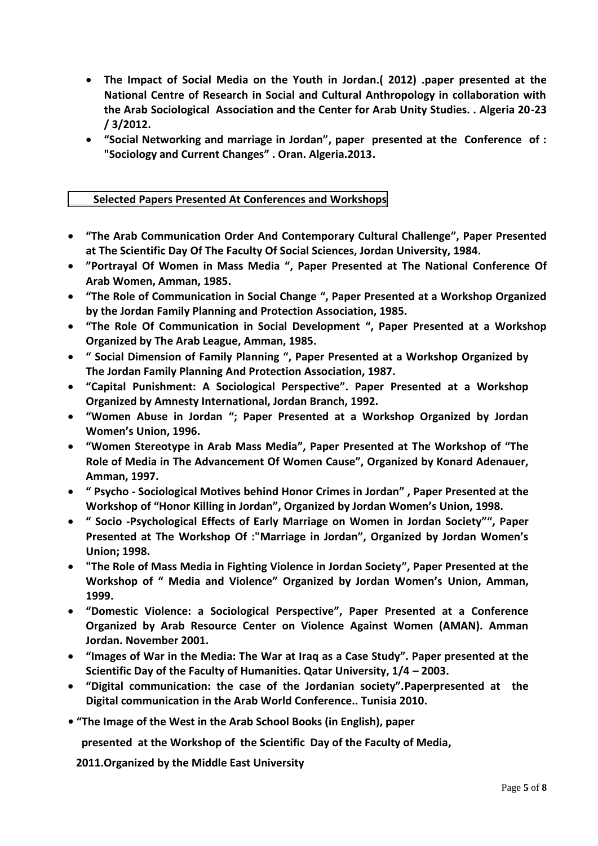- **The Impact of Social Media on the Youth in Jordan.( 2012) .paper presented at the National Centre of Research in Social and Cultural Anthropology in collaboration with the Arab Sociological Association and the Center for Arab Unity Studies. . Algeria 20-23 / 3/2012.**
- **"Social Networking and marriage in Jordan", paper presented at the Conference of : "Sociology and Current Changes" . Oran. Algeria.2013.**

## **Selected Papers Presented At Conferences and Workshops**

- **"The Arab Communication Order And Contemporary Cultural Challenge", Paper Presented at The Scientific Day Of The Faculty Of Social Sciences, Jordan University, 1984.**
- **"Portrayal Of Women in Mass Media ", Paper Presented at The National Conference Of Arab Women, Amman, 1985.**
- **"The Role of Communication in Social Change ", Paper Presented at a Workshop Organized by the Jordan Family Planning and Protection Association, 1985.**
- **"The Role Of Communication in Social Development ", Paper Presented at a Workshop Organized by The Arab League, Amman, 1985.**
- **" Social Dimension of Family Planning ", Paper Presented at a Workshop Organized by The Jordan Family Planning And Protection Association, 1987.**
- **"Capital Punishment: A Sociological Perspective". Paper Presented at a Workshop Organized by Amnesty International, Jordan Branch, 1992.**
- **"Women Abuse in Jordan "; Paper Presented at a Workshop Organized by Jordan Women's Union, 1996.**
- **"Women Stereotype in Arab Mass Media", Paper Presented at The Workshop of "The Role of Media in The Advancement Of Women Cause", Organized by Konard Adenauer, Amman, 1997.**
- **" Psycho - Sociological Motives behind Honor Crimes in Jordan" , Paper Presented at the Workshop of "Honor Killing in Jordan", Organized by Jordan Women's Union, 1998.**
- **" Socio -Psychological Effects of Early Marriage on Women in Jordan Society"", Paper Presented at The Workshop Of :"Marriage in Jordan", Organized by Jordan Women's Union; 1998.**
- **"The Role of Mass Media in Fighting Violence in Jordan Society", Paper Presented at the Workshop of " Media and Violence" Organized by Jordan Women's Union, Amman, 1999.**
- **"Domestic Violence: a Sociological Perspective", Paper Presented at a Conference Organized by Arab Resource Center on Violence Against Women (AMAN). Amman Jordan. November 2001.**
- **"Images of War in the Media: The War at Iraq as a Case Study". Paper presented at the Scientific Day of the Faculty of Humanities. Qatar University, 1/4 – 2003.**
- **"Digital communication: the case of the Jordanian society".Paperpresented at the Digital communication in the Arab World Conference.. Tunisia 2010.**
- **"The Image of the West in the Arab School Books (in English), paper**

 **presented at the Workshop of the Scientific Day of the Faculty of Media,**

 **2011.Organized by the Middle East University**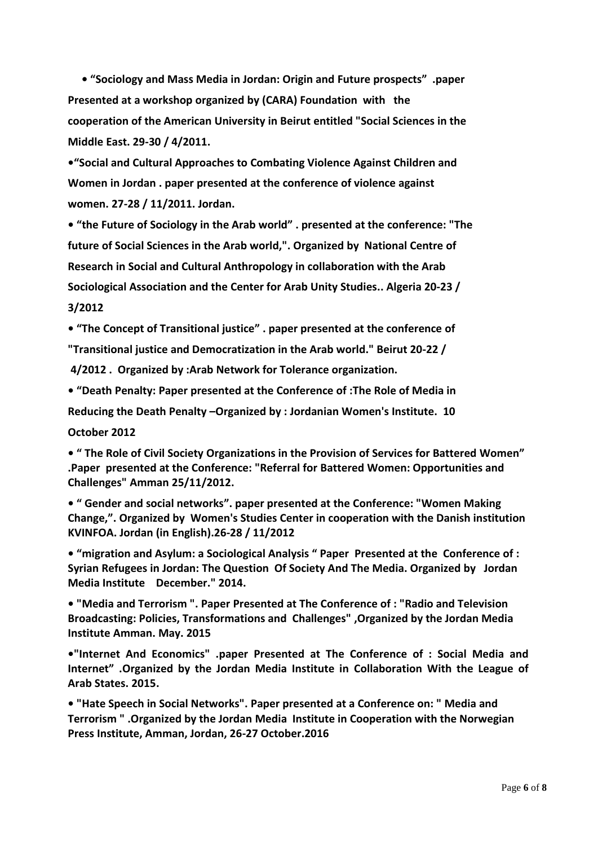**• "Sociology and Mass Media in Jordan: Origin and Future prospects" .paper Presented at a workshop organized by (CARA) Foundation with the cooperation of the American University in Beirut entitled "Social Sciences in the Middle East. 29-30 / 4/2011.**

**•"Social and Cultural Approaches to Combating Violence Against Children and Women in Jordan . paper presented at the conference of violence against women. 27-28 / 11/2011. Jordan.**

**• "the Future of Sociology in the Arab world" . presented at the conference: "The future of Social Sciences in the Arab world,". Organized by National Centre of Research in Social and Cultural Anthropology in collaboration with the Arab Sociological Association and the Center for Arab Unity Studies.. Algeria 20-23 / 3/2012**

**• "The Concept of Transitional justice" . paper presented at the conference of "Transitional justice and Democratization in the Arab world." Beirut 20-22 /**

**4/2012 . Organized by :Arab Network for Tolerance organization.**

**• "Death Penalty: Paper presented at the Conference of :The Role of Media in** 

**Reducing the Death Penalty –Organized by : Jordanian Women's Institute. 10 October 2012**

**• " The Role of Civil Society Organizations in the Provision of Services for Battered Women" .Paper presented at the Conference: "Referral for Battered Women: Opportunities and Challenges" Amman 25/11/2012.** 

**• " Gender and social networks". paper presented at the Conference: "Women Making Change,". Organized by Women's Studies Center in cooperation with the Danish institution KVINFOA. Jordan (in English).26-28 / 11/2012**

**• "migration and Asylum: a Sociological Analysis " Paper Presented at the Conference of : Syrian Refugees in Jordan: The Question Of Society And The Media. Organized by Jordan Media Institute December." 2014.**

**• "Media and Terrorism ". Paper Presented at The Conference of : "Radio and Television Broadcasting: Policies, Transformations and Challenges" ,Organized by the Jordan Media Institute Amman. May. 2015**

**•"Internet And Economics" .paper Presented at The Conference of : Social Media and Internet" .Organized by the Jordan Media Institute in Collaboration With the League of Arab States. 2015.**

**• "Hate Speech in Social Networks". Paper presented at a Conference on: " Media and Terrorism " .Organized by the Jordan Media Institute in Cooperation with the Norwegian Press Institute, Amman, Jordan, 26-27 October.2016**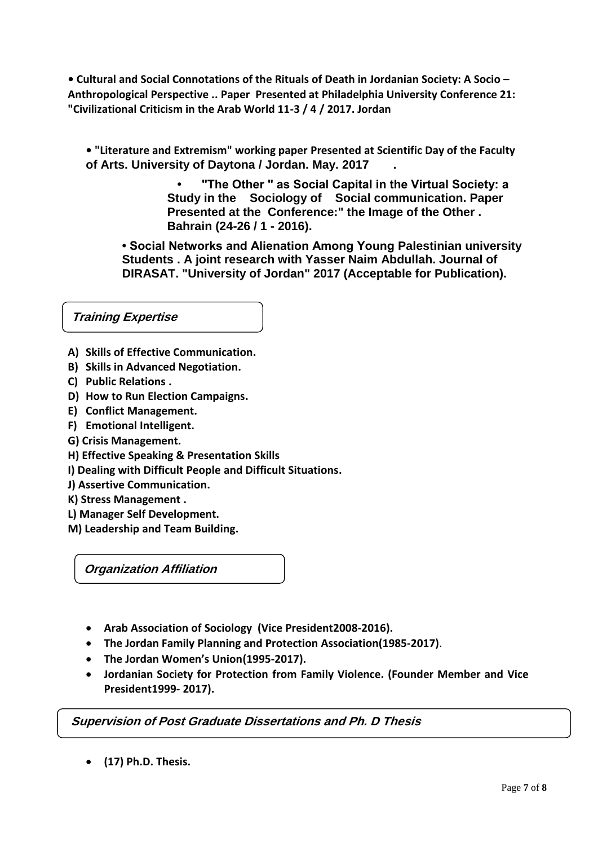**• Cultural and Social Connotations of the Rituals of Death in Jordanian Society: A Socio – Anthropological Perspective .. Paper Presented at Philadelphia University Conference 21: "Civilizational Criticism in the Arab World 11-3 / 4 / 2017. Jordan**

**• "Literature and Extremism" working paper Presented at Scientific Day of the Faculty of Arts. University of Daytona / Jordan. May. 2017 .**

> **• "The Other " as Social Capital in the Virtual Society: a Study in the Sociology of Social communication. Paper Presented at the Conference:" the Image of the Other . Bahrain (24-26 / 1 - 2016).**

**• Social Networks and Alienation Among Young Palestinian university Students . A joint research with Yasser Naim Abdullah. Journal of DIRASAT. "University of Jordan" 2017 (Acceptable for Publication).**

**Training Expertise**

- **A) Skills of Effective Communication.**
- **B) Skills in Advanced Negotiation.**
- **C) Public Relations .**
- **D) How to Run Election Campaigns.**
- **E) Conflict Management.**
- **F) Emotional Intelligent.**
- **G) Crisis Management.**
- **H) Effective Speaking & Presentation Skills**
- **I) Dealing with Difficult People and Difficult Situations.**
- **J) Assertive Communication.**
- **K) Stress Management .**
- **L) Manager Self Development.**
- **M) Leadership and Team Building.**

**Organization Affiliation**

- **Arab Association of Sociology (Vice President2008-2016).**
- **The Jordan Family Planning and Protection Association(1985-2017)**.
- **The Jordan Women's Union(1995-2017).**
- **Jordanian Society for Protection from Family Violence. (Founder Member and Vice President1999- 2017).**

**Supervision of Post Graduate Dissertations and Ph. D Thesis**

**(17) Ph.D. Thesis.**